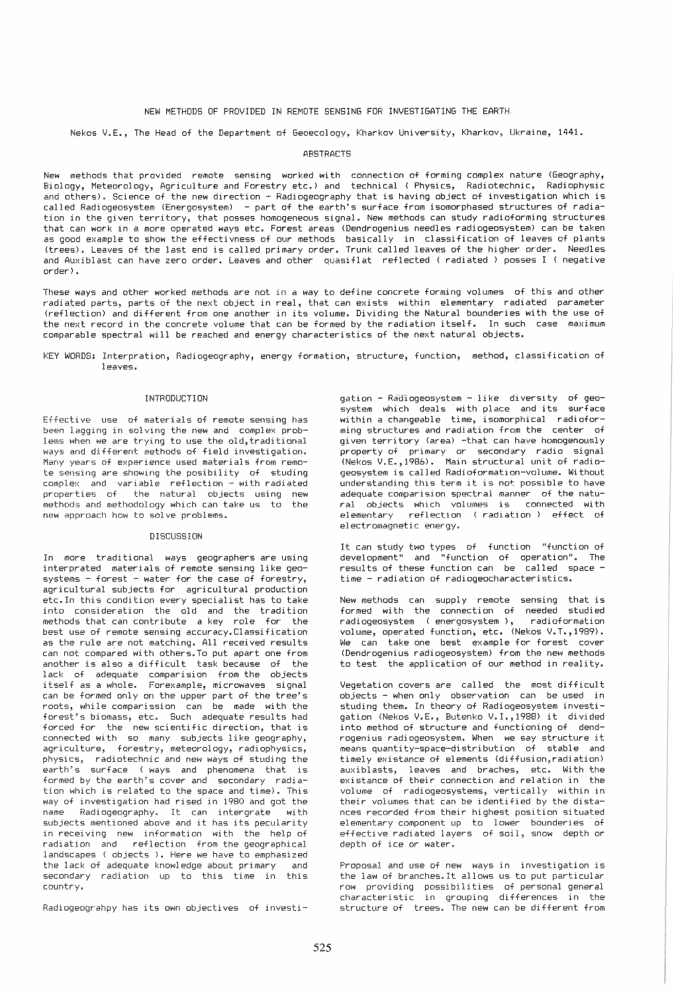# NEW METHODS OF PROVIDED IN REMOTE SENSING FOR INVESTIGATING THE EARTH

Nekos V.E., The Head of the Department of Geoecology, Kharkov University, Kharkov, Ukraine, 1441.

## **ABSTRACTS**

New methods that provided remote sensing worked with connection of forming complex nature (Geography, Biology, Meteorology, Agriculture and Forestry etc.) and technical (Physics, Radiotechnic, Radiophysic and others). Science of the new direction - Radiogeography that is having object of investigation which is called Radiogeosystem (Energosystem) - part of the earth's surface from isomorphased structures of radiation in the given territory, that posses homogeneous signal. New methods can study radioforming structures that can work in a more operated ways etc. Forest areas (Dendrogenius needles radiogeosystem) can be taken as good example to show the effectivness of our methods basically in classification of leaves of plants (trees). Leaves of the last end is called primary order. Trunk called leaves of the higher order. Needles and Auxiblast can have zero order. Leaves and other quasiflat reflected ( radiated) posses I ( negative order) •

These ways and other worked methods are not in a way to define concrete forming volumes of this and other radiated parts, parts of the next object in real, that can exists within elementary radiated parameter (reflection) and different from one another in its volume. Dividing the Natural bounderies with the use of the next record in the concrete volume that can be formed by the radiation itself. In such case maximum comparable spectral will be reached and energy characteristics of the next natural objects.

KEY WORDS: Interpration, Radiogeography, energy formation, structure, function, method, classification of leaves,

#### I NTRODUCTI ON

Effective use of materials of remote sensing has been lagging in solving the new and complex problems when we are trying to use the old, traditional ways and different methods of field investigation. Many years of experience used materials from remote sensing are showing the posibility of studing complex and variable reflection - with radiated properties of the natural objects using new methods and methodology which can take us to the new approach hew to solve problems.

### DISCUSSION

In more traditional ways geographers are using interprated materials of remote sensing like geo $s$ ystems - forest - water for the case of forestry, agricultural subjects for agricultural production etc.In this condition every specialist has to take into consideration the old and the tradition methods that can contribute a key role for the best use of remote sensing accuracy. Classification as the rule are not matching. All received results can not compared with others. To put apart one from another is also a difficult task because of the lack of adequate comparision from the objects itself as a whole. Forexample, microwaves signal can be formed only on the upper part of the tree's roots, while comparission can be made with the forest"s biomass, etc. Such adequate results had forced for the new scientific direction, that is connected with so many subjects like geography, agriculture, forestry, meteorology, radiophysics, physics, radiotechnic and new ways of studing the earth's surface (ways and phenomena that is formed by the earth's cover and secondary radiation which is related to the space and time). This way of investigation had rised in 1980 and got the name Radiogeography. It can intergrate with subjects mentioned above and it has its pecularity in receiving new information with the help of radiation and reflection from the geographical landscapes ( objects ). Here we have to emphasized the lack of adequate knowledge about primary and secondary radiation up to this time in this country.

Radiogeograhpy has its own objectives of investi-

gation - Radiogeosystem - like diversity of geosystem which deals with place and its surface within a changeable time, isomorphical radioforming structures and radiation from the center of given territory (area) -that can have homogenously property of primary or secondary radio signal INekos V.E.,1986). Main structural unit of radiogeosystem is called Radioformation-volume. Without understanding this term it is not possible to have adequate comparision spectral manner of the natural objects which volumes is connected with elementary reflection (radiation) effect of electromagnetic energy.

It can study two types of function "function of development" and "function of operation". The results of these function can be called spacetime - radiation of radiogeocharacteristics.

New methods can supply remote sensing that is formed with the connection of needed studied radiogeosystem (energosystem), radioformation volume, operated function, etc. (Nekos V.T., 1989). We can take one best example for forest cover (Dendrogenius radiogeosystem) from the new methods to test the application of our method in reality.

Vegetation covers are called the most difficult objects - when only observation can be used in studing them. In theory of Radiogeosystem investigation (Nekos V.E., Butenko V.I.,1988) it divided into method of structure and functioning of dendrogenius radiogeosystem. When we say structure it means quantity-space-distribution of stable and timely existance of elements (diffusion, radiation) auxiblasts, leaves and braches, etc. With the existance of their connection and relation in the volume of radiogeosystems, vertically within in their volumes that can be identified by the distances recorded from their highest position situated elementary component up  $to$  lower bounderies of effective radiated layers of soil, snow depth or depth of ice or water.

Proposal and use of new ways in investigation is the law of branches.It allows us to put particular row providing possibilities of personal general characteristic in grouping differences in the structure of trees. The new can be different from